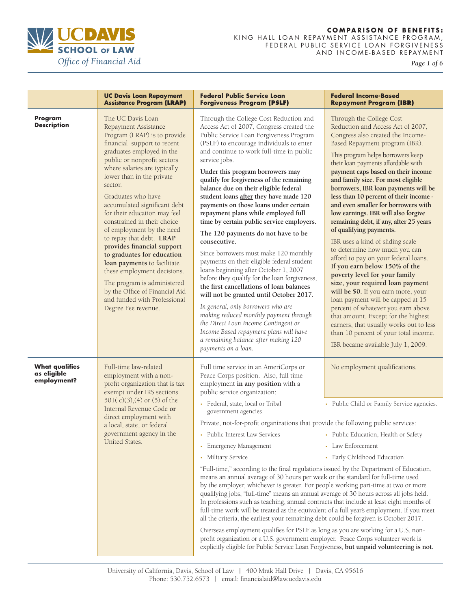

*Page 1 of 6* 

|                                                     | <b>UC Davis Loan Repayment</b><br><b>Assistance Program (LRAP)</b>                                                                                                                                                                                                                                                                                                                                                                                                                                                                                                                                                                                                           | <b>Federal Public Service Loan</b><br><b>Forgiveness Program (PSLF)</b>                                                                                                                                                                                                                                                                                                                                                                                                                                                                                                                                                                                                                                                                                                                                                                                                                                                                                                                                                                                                                               | <b>Federal Income-Based</b><br><b>Repayment Program (IBR)</b>                                                                                                                                                                                                                                                                                                                                                                                                                                                                                                                                                                                                                                                                                                                                                                                                                                                                                                                                                                           |
|-----------------------------------------------------|------------------------------------------------------------------------------------------------------------------------------------------------------------------------------------------------------------------------------------------------------------------------------------------------------------------------------------------------------------------------------------------------------------------------------------------------------------------------------------------------------------------------------------------------------------------------------------------------------------------------------------------------------------------------------|-------------------------------------------------------------------------------------------------------------------------------------------------------------------------------------------------------------------------------------------------------------------------------------------------------------------------------------------------------------------------------------------------------------------------------------------------------------------------------------------------------------------------------------------------------------------------------------------------------------------------------------------------------------------------------------------------------------------------------------------------------------------------------------------------------------------------------------------------------------------------------------------------------------------------------------------------------------------------------------------------------------------------------------------------------------------------------------------------------|-----------------------------------------------------------------------------------------------------------------------------------------------------------------------------------------------------------------------------------------------------------------------------------------------------------------------------------------------------------------------------------------------------------------------------------------------------------------------------------------------------------------------------------------------------------------------------------------------------------------------------------------------------------------------------------------------------------------------------------------------------------------------------------------------------------------------------------------------------------------------------------------------------------------------------------------------------------------------------------------------------------------------------------------|
| Program<br><b>Description</b>                       | The UC Davis Loan<br>Repayment Assistance<br>Program (LRAP) is to provide<br>financial support to recent<br>graduates employed in the<br>public or nonprofit sectors<br>where salaries are typically<br>lower than in the private<br>sector.<br>Graduates who have<br>accumulated significant debt<br>for their education may feel<br>constrained in their choice<br>of employment by the need<br>to repay that debt. LRAP<br>provides financial support<br>to graduates for education<br>loan payments to facilitate<br>these employment decisions.<br>The program is administered<br>by the Office of Financial Aid<br>and funded with Professional<br>Degree Fee revenue. | Through the College Cost Reduction and<br>Access Act of 2007, Congress created the<br>Public Service Loan Forgiveness Program<br>(PSLF) to encourage individuals to enter<br>and continue to work full-time in public<br>service jobs.<br>Under this program borrowers may<br>qualify for forgiveness of the remaining<br>balance due on their eligible federal<br>student loans after they have made 120<br>payments on those loans under certain<br>repayment plans while employed full<br>time by certain public service employers.<br>The 120 payments do not have to be<br>consecutive.<br>Since borrowers must make 120 monthly<br>payments on their eligible federal student<br>loans beginning after October 1, 2007<br>before they qualify for the loan forgiveness,<br>the first cancellations of loan balances<br>will not be granted until October 2017.<br>In general, only borrowers who are<br>making reduced monthly payment through<br>the Direct Loan Income Contingent or<br>Income Based repayment plans will have<br>a remaining balance after making 120<br>payments on a loan. | Through the College Cost<br>Reduction and Access Act of 2007,<br>Congress also created the Income-<br>Based Repayment program (IBR).<br>This program helps borrowers keep<br>their loan payments affordable with<br>payment caps based on their income<br>and family size. For most eligible<br>borrowers, IBR loan payments will be<br>less than 10 percent of their income -<br>and even smaller for borrowers with<br>low earnings. IBR will also forgive<br>remaining debt, if any, after 25 years<br>of qualifying payments.<br>IBR uses a kind of sliding scale<br>to determine how much you can<br>afford to pay on your federal loans.<br>If you earn below 150% of the<br>poverty level for your family<br>size, your required loan payment<br>will be \$0. If you earn more, your<br>loan payment will be capped at 15<br>percent of whatever you earn above<br>that amount. Except for the highest<br>earners, that usually works out to less<br>than 10 percent of your total income.<br>IBR became available July 1, 2009. |
| <b>What qualifies</b><br>as eligible<br>employment? | Full-time law-related<br>employment with a non-<br>profit organization that is tax<br>exempt under IRS sections<br>501(c)(3),(4) or (5) of the<br>Internal Revenue Code or<br>direct employment with<br>a local, state, or federal<br>government agency in the<br>United States.                                                                                                                                                                                                                                                                                                                                                                                             | Full time service in an AmeriCorps or<br>Peace Corps position. Also, full time<br>employment in any position with a<br>public service organization:<br>· Federal, state, local or Tribal<br>government agencies.<br>Private, not-for-profit organizations that provide the following public services:<br>Public Interest Law Services • Public Education, Health or Safety<br><b>Emergency Management</b><br>Military Service<br>"Full-time," according to the final regulations issued by the Department of Education,<br>means an annual average of 30 hours per week or the standard for full-time used<br>by the employer, whichever is greater. For people working part-time at two or more<br>qualifying jobs, "full-time" means an annual average of 30 hours across all jobs held.<br>In professions such as teaching, annual contracts that include at least eight months of<br>full-time work will be treated as the equivalent of a full year's employment. If you meet<br>all the criteria, the earliest your remaining debt could be forgiven is October 2017.                           | No employment qualifications.<br>• Public Child or Family Service agencies.<br>• Law Enforcement<br>• Early Childhood Education                                                                                                                                                                                                                                                                                                                                                                                                                                                                                                                                                                                                                                                                                                                                                                                                                                                                                                         |
|                                                     |                                                                                                                                                                                                                                                                                                                                                                                                                                                                                                                                                                                                                                                                              | Overseas employment qualifies for PSLF as long as you are working for a U.S. non-<br>profit organization or a U.S. government employer. Peace Corps volunteer work is<br>explicitly eligible for Public Service Loan Forgiveness, but unpaid volunteering is not.                                                                                                                                                                                                                                                                                                                                                                                                                                                                                                                                                                                                                                                                                                                                                                                                                                     |                                                                                                                                                                                                                                                                                                                                                                                                                                                                                                                                                                                                                                                                                                                                                                                                                                                                                                                                                                                                                                         |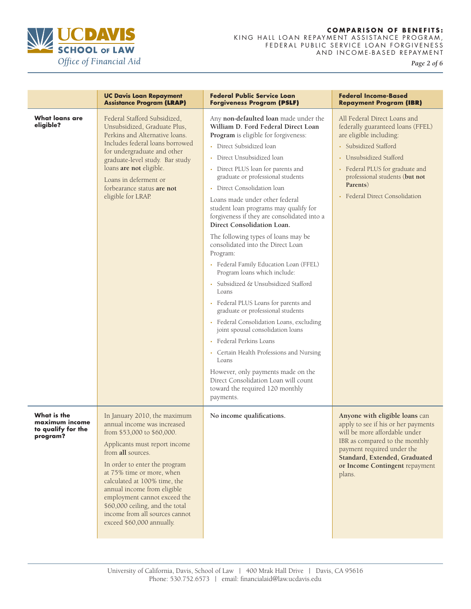

*Page 2 of 6* 

|                                                                 | <b>UC Davis Loan Repayment</b><br><b>Assistance Program (LRAP)</b>                                                                                                                                                                                                                                                                                                                                             | <b>Federal Public Service Loan</b><br><b>Forgiveness Program (PSLF)</b>                                                                                                                                                                                                                                                                                                                                                                                                                                                                                                                                                                                                                                                                                                                                                                                                                                                                                                                                                                     | <b>Federal Income-Based</b><br><b>Repayment Program (IBR)</b>                                                                                                                                                                                                            |
|-----------------------------------------------------------------|----------------------------------------------------------------------------------------------------------------------------------------------------------------------------------------------------------------------------------------------------------------------------------------------------------------------------------------------------------------------------------------------------------------|---------------------------------------------------------------------------------------------------------------------------------------------------------------------------------------------------------------------------------------------------------------------------------------------------------------------------------------------------------------------------------------------------------------------------------------------------------------------------------------------------------------------------------------------------------------------------------------------------------------------------------------------------------------------------------------------------------------------------------------------------------------------------------------------------------------------------------------------------------------------------------------------------------------------------------------------------------------------------------------------------------------------------------------------|--------------------------------------------------------------------------------------------------------------------------------------------------------------------------------------------------------------------------------------------------------------------------|
| What loans are<br>eligible?                                     | Federal Stafford Subsidized,<br>Unsubsidized, Graduate Plus,<br>Perkins and Alternative loans.<br>Includes federal loans borrowed<br>for undergraduate and other<br>graduate-level study. Bar study<br>loans are not eligible.<br>Loans in deferment or<br>forbearance status are not<br>eligible for LRAP.                                                                                                    | Any non-defaulted loan made under the<br>William D. Ford Federal Direct Loan<br>Program is eligible for forgiveness:<br>• Direct Subsidized loan<br>Direct Unsubsidized loan<br>• Direct PLUS loan for parents and<br>graduate or professional students<br>• Direct Consolidation loan<br>Loans made under other federal<br>student loan programs may qualify for<br>forgiveness if they are consolidated into a<br>Direct Consolidation Loan.<br>The following types of loans may be<br>consolidated into the Direct Loan<br>Program:<br>• Federal Family Education Loan (FFEL)<br>Program loans which include:<br>Subsidized & Unsubsidized Stafford<br>Loans<br>• Federal PLUS Loans for parents and<br>graduate or professional students<br>• Federal Consolidation Loans, excluding<br>joint spousal consolidation loans<br>• Federal Perkins Loans<br>• Certain Health Professions and Nursing<br>Loans<br>However, only payments made on the<br>Direct Consolidation Loan will count<br>toward the required 120 monthly<br>payments. | All Federal Direct Loans and<br>federally guaranteed loans (FFEL)<br>are eligible including:<br>• Subsidized Stafford<br>• Unsubsidized Stafford<br>• Federal PLUS for graduate and<br>professional students (but not<br>Parents)<br><b>Federal Direct Consolidation</b> |
| What is the<br>maximum income<br>to qualify for the<br>program? | In January 2010, the maximum<br>annual income was increased<br>from \$53,000 to \$60,000.<br>Applicants must report income<br>from all sources.<br>In order to enter the program<br>at 75% time or more, when<br>calculated at 100% time, the<br>annual income from eligible<br>employment cannot exceed the<br>\$60,000 ceiling, and the total<br>income from all sources cannot<br>exceed \$60,000 annually. | No income qualifications.                                                                                                                                                                                                                                                                                                                                                                                                                                                                                                                                                                                                                                                                                                                                                                                                                                                                                                                                                                                                                   | Anyone with eligible loans can<br>apply to see if his or her payments<br>will be more affordable under<br>IBR as compared to the monthly<br>payment required under the<br>Standard, Extended, Graduated<br>or Income Contingent repayment<br>plans.                      |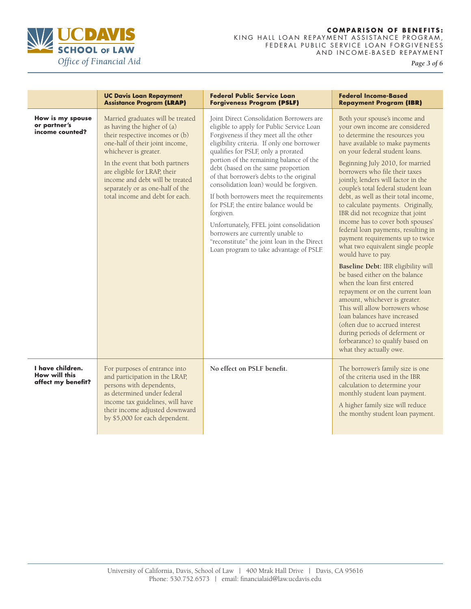

*Page 3 of 6* 

|                                                         | <b>UC Davis Loan Repayment</b><br><b>Assistance Program (LRAP)</b>                                                                                                                                                                                                                                                                           | <b>Federal Public Service Loan</b><br><b>Forgiveness Program (PSLF)</b>                                                                                                                                                                                                                                                                                                                                                                                                                                                                                                                                                                                                | <b>Federal Income-Based</b><br><b>Repayment Program (IBR)</b>                                                                                                                                                                                                                                                                                                                                                                                                                                                                                                                                                                                                                                                                                                                                                                                                                                                                                                                                              |
|---------------------------------------------------------|----------------------------------------------------------------------------------------------------------------------------------------------------------------------------------------------------------------------------------------------------------------------------------------------------------------------------------------------|------------------------------------------------------------------------------------------------------------------------------------------------------------------------------------------------------------------------------------------------------------------------------------------------------------------------------------------------------------------------------------------------------------------------------------------------------------------------------------------------------------------------------------------------------------------------------------------------------------------------------------------------------------------------|------------------------------------------------------------------------------------------------------------------------------------------------------------------------------------------------------------------------------------------------------------------------------------------------------------------------------------------------------------------------------------------------------------------------------------------------------------------------------------------------------------------------------------------------------------------------------------------------------------------------------------------------------------------------------------------------------------------------------------------------------------------------------------------------------------------------------------------------------------------------------------------------------------------------------------------------------------------------------------------------------------|
| How is my spouse<br>or partner's<br>income counted?     | Married graduates will be treated<br>as having the higher of (a)<br>their respective incomes or (b)<br>one-half of their joint income,<br>whichever is greater.<br>In the event that both partners<br>are eligible for LRAP, their<br>income and debt will be treated<br>separately or as one-half of the<br>total income and debt for each. | Joint Direct Consolidation Borrowers are<br>eligible to apply for Public Service Loan<br>Forgiveness if they meet all the other<br>eligibility criteria. If only one borrower<br>qualifies for PSLF, only a prorated<br>portion of the remaining balance of the<br>debt (based on the same proportion<br>of that borrower's debts to the original<br>consolidation loan) would be forgiven.<br>If both borrowers meet the requirements<br>for PSLF, the entire balance would be<br>forgiven.<br>Unfortunately, FFEL joint consolidation<br>borrowers are currently unable to<br>"reconstitute" the joint loan in the Direct<br>Loan program to take advantage of PSLF. | Both your spouse's income and<br>your own income are considered<br>to determine the resources you<br>have available to make payments<br>on your federal student loans.<br>Beginning July 2010, for married<br>borrowers who file their taxes<br>jointly, lenders will factor in the<br>couple's total federal student loan<br>debt, as well as their total income,<br>to calculate payments. Originally,<br>IBR did not recognize that joint<br>income has to cover both spouses'<br>federal loan payments, resulting in<br>payment requirements up to twice<br>what two equivalent single people<br>would have to pay.<br>Baseline Debt: IBR eligibility will<br>be based either on the balance<br>when the loan first entered<br>repayment or on the current loan<br>amount, whichever is greater.<br>This will allow borrowers whose<br>loan balances have increased<br>(often due to accrued interest<br>during periods of deferment or<br>forbearance) to qualify based on<br>what they actually owe. |
| I have children.<br>How will this<br>affect my benefit? | For purposes of entrance into<br>and participation in the LRAP,<br>persons with dependents,<br>as determined under federal<br>income tax guidelines, will have<br>their income adjusted downward<br>by \$5,000 for each dependent.                                                                                                           | No effect on PSLF benefit.                                                                                                                                                                                                                                                                                                                                                                                                                                                                                                                                                                                                                                             | The borrower's family size is one<br>of the criteria used in the IBR<br>calculation to determine your<br>monthly student loan payment.<br>A higher family size will reduce<br>the monthy student loan payment.                                                                                                                                                                                                                                                                                                                                                                                                                                                                                                                                                                                                                                                                                                                                                                                             |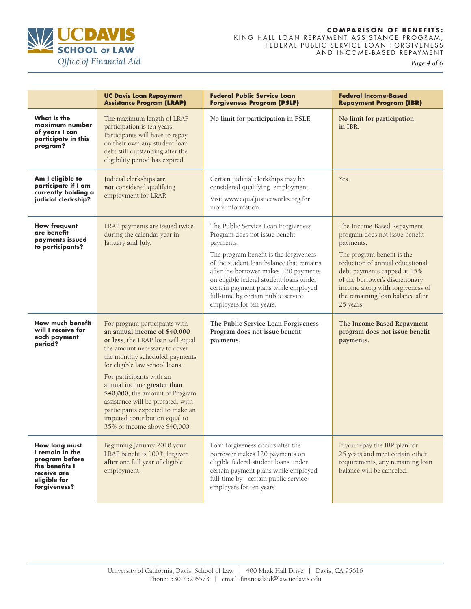

*Page 4 of 6* 

|                                                                                                                     | <b>UC Davis Loan Repayment</b><br><b>Assistance Program (LRAP)</b>                                                                                                                                                                                                                                                                                                                                                                              | <b>Federal Public Service Loan</b><br><b>Forgiveness Program (PSLF)</b>                                                                                                                                                                                                                                                                                                 | <b>Federal Income-Based</b><br><b>Repayment Program (IBR)</b>                                                                                                                                                                                                                                     |
|---------------------------------------------------------------------------------------------------------------------|-------------------------------------------------------------------------------------------------------------------------------------------------------------------------------------------------------------------------------------------------------------------------------------------------------------------------------------------------------------------------------------------------------------------------------------------------|-------------------------------------------------------------------------------------------------------------------------------------------------------------------------------------------------------------------------------------------------------------------------------------------------------------------------------------------------------------------------|---------------------------------------------------------------------------------------------------------------------------------------------------------------------------------------------------------------------------------------------------------------------------------------------------|
| What is the<br>maximum number<br>of years I can<br>participate in this<br>program?                                  | The maximum length of LRAP<br>participation is ten years.<br>Participants will have to repay<br>on their own any student loan<br>debt still outstanding after the<br>eligibility period has expired.                                                                                                                                                                                                                                            | No limit for participation in PSLF.                                                                                                                                                                                                                                                                                                                                     | No limit for participation<br>in IBR.                                                                                                                                                                                                                                                             |
| Am I eligible to<br>participate if I am<br>currently holding a<br>judicial clerkship?                               | Judicial clerkships are<br>not considered qualifying<br>employment for LRAP.                                                                                                                                                                                                                                                                                                                                                                    | Certain judicial clerkships may be<br>considered qualifying employment.<br>Visit_www.equaljusticeworks.org for<br>more information.                                                                                                                                                                                                                                     | Yes.                                                                                                                                                                                                                                                                                              |
| <b>How frequent</b><br>are benefit<br>payments issued<br>to participants?                                           | LRAP payments are issued twice<br>during the calendar year in<br>January and July.                                                                                                                                                                                                                                                                                                                                                              | The Public Service Loan Forgiveness<br>Program does not issue benefit<br>payments.<br>The program benefit is the forgiveness<br>of the student loan balance that remains<br>after the borrower makes 120 payments<br>on eligible federal student loans under<br>certain payment plans while employed<br>full-time by certain public service<br>employers for ten years. | The Income-Based Repayment<br>program does not issue benefit<br>payments.<br>The program benefit is the<br>reduction of annual educational<br>debt payments capped at 15%<br>of the borrower's discretionary<br>income along with forgiveness of<br>the remaining loan balance after<br>25 years. |
| How much benefit<br>will I receive for<br>each payment<br>period?                                                   | For program participants with<br>an annual income of \$40,000<br>or less, the LRAP loan will equal<br>the amount necessary to cover<br>the monthly scheduled payments<br>for eligible law school loans.<br>For participants with an<br>annual income greater than<br>\$40,000, the amount of Program<br>assistance will be prorated, with<br>participants expected to make an<br>imputed contribution equal to<br>35% of income above \$40,000. | The Public Service Loan Forgiveness<br>Program does not issue benefit<br>payments.                                                                                                                                                                                                                                                                                      | The Income-Based Repayment<br>program does not issue benefit<br>payments.                                                                                                                                                                                                                         |
| How long must<br>I remain in the<br>program before<br>the benefits I<br>receive are<br>eligible for<br>forgiveness? | Beginning January 2010 your<br>LRAP benefit is 100% forgiven<br>after one full year of eligible<br>employment.                                                                                                                                                                                                                                                                                                                                  | Loan forgiveness occurs after the<br>borrower makes 120 payments on<br>eligible federal student loans under<br>certain payment plans while employed<br>full-time by certain public service<br>employers for ten years.                                                                                                                                                  | If you repay the IBR plan for<br>25 years and meet certain other<br>requirements, any remaining loan<br>balance will be canceled.                                                                                                                                                                 |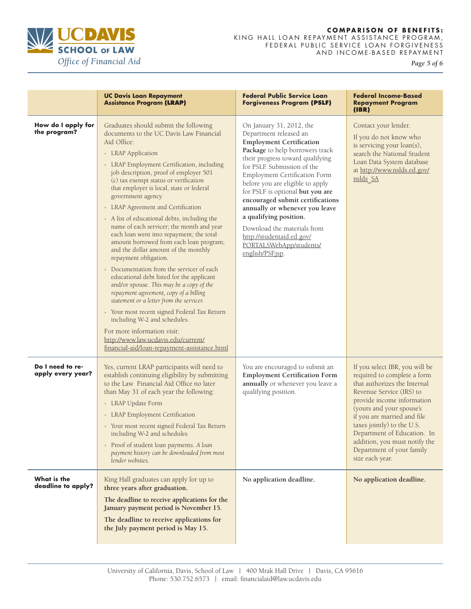

*Page 5 of 6* 

|                                       | <b>UC Davis Loan Repayment</b><br><b>Assistance Program (LRAP)</b>                                                                                                                                                                                                                                                                                                                                                                                                                                                                                                                                                                                                                                                                                                                                                                                                                                                                                                                                                                                  | <b>Federal Public Service Loan</b><br><b>Forgiveness Program (PSLF)</b>                                                                                                                                                                                                                                                                                                                                                                                                                                                | <b>Federal Income-Based</b><br><b>Repayment Program</b><br>(IBR)                                                                                                                                                                                                                                                                                                 |
|---------------------------------------|-----------------------------------------------------------------------------------------------------------------------------------------------------------------------------------------------------------------------------------------------------------------------------------------------------------------------------------------------------------------------------------------------------------------------------------------------------------------------------------------------------------------------------------------------------------------------------------------------------------------------------------------------------------------------------------------------------------------------------------------------------------------------------------------------------------------------------------------------------------------------------------------------------------------------------------------------------------------------------------------------------------------------------------------------------|------------------------------------------------------------------------------------------------------------------------------------------------------------------------------------------------------------------------------------------------------------------------------------------------------------------------------------------------------------------------------------------------------------------------------------------------------------------------------------------------------------------------|------------------------------------------------------------------------------------------------------------------------------------------------------------------------------------------------------------------------------------------------------------------------------------------------------------------------------------------------------------------|
| How do I apply for<br>the program?    | Graduates should submit the following<br>documents to the UC Davis Law Financial<br>Aid Office:<br>• LRAP Application<br>• LRAP Employment Certification, including<br>job description, proof of employer 501<br>(c) tax exempt status or verification<br>that employer is local, state or federal<br>government agency.<br>• LRAP Agreement and Certification<br>• A list of educational debts, including the<br>name of each servicer; the month and year<br>each loan went into repayment; the total<br>amount borrowed from each loan program;<br>and the dollar amount of the monthly<br>repayment obligation.<br>Documentation from the servicer of each<br>educational debt listed for the applicant<br>and/or spouse. This may be a copy of the<br>repayment agreement, copy of a billing<br>statement or a letter from the servicer.<br>• Your most recent signed Federal Tax Return<br>including W-2 and schedules.<br>For more information visit:<br>http://www.law.ucdavis.edu/current/<br>financial-aid/loan-repayment-assistance.html | On January 31, 2012, the<br>Department released an<br><b>Employment Certification</b><br>Package to help borrowers track<br>their progress toward qualifying<br>for PSLF. Submission of the<br><b>Employment Certification Form</b><br>before you are eligible to apply<br>for PSLF is optional but you are<br>encouraged submit certifications<br>annually or whenever you leave<br>a qualifying position.<br>Download the materials from<br>http://studentaid.ed.gov/<br>PORTALSWebApp/students/<br>english/PSF.jsp. | Contact your lender.<br>If you do not know who<br>is servicing your loan(s),<br>search the National Student<br>Loan Data System database<br>at http://www.nslds.ed.gov/<br>nslds SA                                                                                                                                                                              |
| Do I need to re-<br>apply every year? | Yes, current LRAP participants will need to<br>establish continuing eligibility by submitting<br>to the Law Financial Aid Office no later<br>than May 31 of each year the following:<br>• LRAP Update Form<br>• LRAP Employment Certification<br>• Your most recent signed Federal Tax Return<br>including W-2 and schedules<br>• Proof of student loan payments. A loan<br>payment history can be downloaded from most<br>lender websites.                                                                                                                                                                                                                                                                                                                                                                                                                                                                                                                                                                                                         | You are encouraged to submit an<br><b>Employment Certification Form</b><br>annually or whenever you leave a<br>qualifying position.                                                                                                                                                                                                                                                                                                                                                                                    | If you select IBR, you will be<br>required to complete a form<br>that authorizes the Internal<br>Revenue Service (IRS) to<br>provide income information<br>(yours and your spouse's<br>if you are married and file<br>taxes jointly) to the U.S.<br>Department of Education. In<br>addition, you must notify the<br>Department of your family<br>size each year. |
| What is the<br>deadline to apply?     | King Hall graduates can apply for up to<br>three years after graduation.<br>The deadline to receive applications for the<br>January payment period is November 15.<br>The deadline to receive applications for<br>the July payment period is May 15.                                                                                                                                                                                                                                                                                                                                                                                                                                                                                                                                                                                                                                                                                                                                                                                                | No application deadline.                                                                                                                                                                                                                                                                                                                                                                                                                                                                                               | No application deadline.                                                                                                                                                                                                                                                                                                                                         |